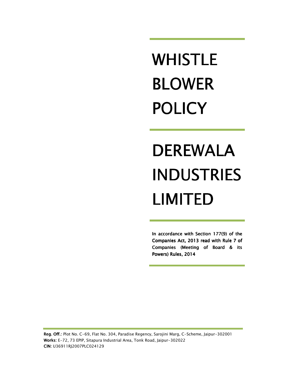# WHISTLE BLOWER POLICY

# DEREWALA INDUSTRIES LIMITED

In accordance with Section  $177(9)$  of the Companies Act, 2013 read with Rule 7 of Companies (Meeting of Board & its Powers) Rules, 2014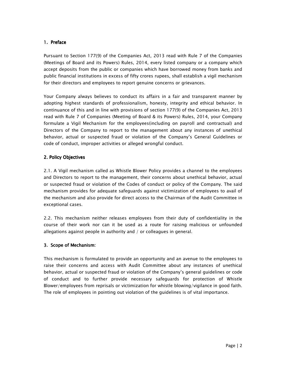## 1. Preface

Pursuant to Section 177(9) of the Companies Act, 2013 read with Rule 7 of the Companies (Meetings of Board and its Powers) Rules, 2014, every listed company or a company which accept deposits from the public or companies which have borrowed money from banks and public financial institutions in excess of fifty crores rupees, shall establish a vigil mechanism for their directors and employees to report genuine concerns or grievances.

Your Company always believes to conduct its affairs in a fair and transparent manner by adopting highest standards of professionalism, honesty, integrity and ethical behavior. In continuance of this and in line with provisions of section 177(9) of the Companies Act, 2013 read with Rule 7 of Companies (Meeting of Board & its Powers) Rules, 2014, your Company formulate a Vigil Mechanism for the employees(including on payroll and contractual) and Directors of the Company to report to the management about any instances of unethical behavior, actual or suspected fraud or violation of the Company's General Guidelines or code of conduct, improper activities or alleged wrongful conduct.

## 2. Policy Objectives

2.1. A Vigil mechanism called as Whistle Blower Policy provides a channel to the employees and Directors to report to the management, their concerns about unethical behavior, actual or suspected fraud or violation of the Codes of conduct or policy of the Company. The said mechanism provides for adequate safeguards against victimization of employees to avail of the mechanism and also provide for direct access to the Chairman of the Audit Committee in exceptional cases.

2.2. This mechanism neither releases employees from their duty of confidentiality in the course of their work nor can it be used as a route for raising malicious or unfounded allegations against people in authority and / or colleagues in general.

#### 3. Scope of Mechanism:

This mechanism is formulated to provide an opportunity and an avenue to the employees to raise their concerns and access with Audit Committee about any instances of unethical behavior, actual or suspected fraud or violation of the Company's general guidelines or code of conduct and to further provide necessary safeguards for protection of Whistle Blower/employees from reprisals or victimization for whistle blowing/vigilance in good faith. The role of employees in pointing out violation of the guidelines is of vital importance.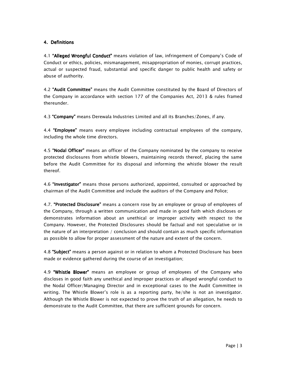## 4. Definitions 4. Definitions

4.1 "Alleged Wrongful Conduct" means violation of law, infringement of Company's Code of Conduct or ethics, policies, mismanagement, misappropriation of monies, corrupt practices, actual or suspected fraud, substantial and specific danger to public health and safety or abuse of authority.

4.2 "Audit Committee" means the Audit Committee constituted by the Board of Directors of the Company in accordance with section 177 of the Companies Act, 2013 & rules framed thereunder.

4.3 "Company" means Derewala Industries Limited and all its Branches/Zones, if any.

4.4 "Employee" means every employee including contractual employees of the company, including the whole time directors.

4.5 "Nodal Officer" means an officer of the Company nominated by the company to receive protected disclosures from whistle blowers, maintaining records thereof, placing the same before the Audit Committee for its disposal and informing the whistle blower the result thereof.

4.6 "Investigator" means those persons authorized, appointed, consulted or approached by chairman of the Audit Committee and include the auditors of the Company and Police;

4.7. "Protected Disclosure" means a concern rose by an employee or group of employees of the Company, through a written communication and made in good faith which discloses or demonstrates information about an unethical or improper activity with respect to the Company. However, the Protected Disclosures should be factual and not speculative or in the nature of an interpretation / conclusion and should contain as much specific information as possible to allow for proper assessment of the nature and extent of the concern.

4.8 "Subject" means a person against or in relation to whom a Protected Disclosure has been made or evidence gathered during the course of an investigation;

4.9 "Whistle Blower" means an employee or group of employees of the Company who discloses in good faith any unethical and improper practices or alleged wrongful conduct to the Nodal Officer/Managing Director and in exceptional cases to the Audit Committee in writing. The Whistle Blower's role is as a reporting party, he/she is not an investigator. Although the Whistle Blower is not expected to prove the truth of an allegation, he needs to demonstrate to the Audit Committee, that there are sufficient grounds for concern.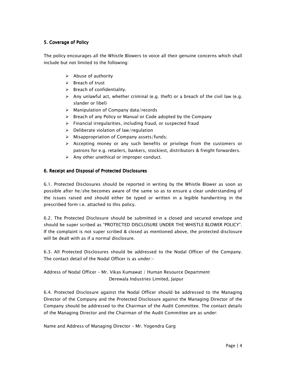# 5. Coverage of Policy

The policy encourages all the Whistle Blowers to voice all their genuine concerns which shall include but not limited to the following:

- $\triangleright$  Abuse of authority
- $\triangleright$  Breach of trust
- $\triangleright$  Breach of confidentiality.
- $\triangleright$  Any unlawful act, whether criminal (e.g. theft) or a breach of the civil law (e.g. slander or libel)
- $\triangleright$  Manipulation of Company data/records
- $\triangleright$  Breach of any Policy or Manual or Code adopted by the Company
- $\triangleright$  Financial irregularities, including fraud, or suspected fraud
- $\triangleright$  Deliberate violation of law/regulation
- $\triangleright$  Misappropriation of Company assets/funds;
- $\triangleright$  Accepting money or any such benefits or privilege from the customers or patrons for e.g. retailers, bankers, stockiest, distributors & freight forwarders.
- $\triangleright$  Any other unethical or improper conduct.

#### 6. Receipt and Disposal of Protected Disclosures

6.1. Protected Disclosures should be reported in writing by the Whistle Blower as soon as possible after he/she becomes aware of the same so as to ensure a clear understanding of the issues raised and should either be typed or written in a legible handwriting in the prescribed form i.e. attached to this policy.

6.2. The Protected Disclosure should be submitted in a closed and secured envelope and should be super scribed as "PROTECTED DISCLOSURE UNDER THE WHISTLE BLOWER POLICY". If the complaint is not super scribed & closed as mentioned above, the protected disclosure will be dealt with as if a normal disclosure.

6.3. All Protected Disclosures should be addressed to the Nodal Officer of the Company. The contact detail of the Nodal Officer is as under:-

Address of Nodal Officer – Mr. Vikas Kumawat / Human Resource Department Derewala Industries Limited, Jaipur

6.4. Protected Disclosure against the Nodal Officer should be addressed to the Managing Director of the Company and the Protected Disclosure against the Managing Director of the Company should be addressed to the Chairman of the Audit Committee. The contact details of the Managing Director and the Chairman of the Audit Committee are as under:

Name and Address of Managing Director – Mr. Yogendra Garg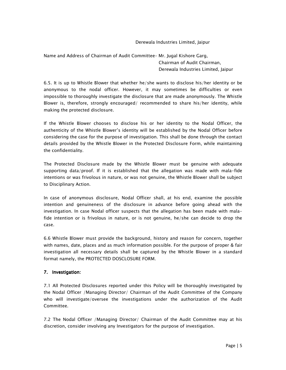Derewala Industries Limited, Jaipur

Name and Address of Chairman of Audit Committee– Mr. Jugal Kishore Garg, Chairman of Audit Chairman, Derewala Industries Limited, Jaipur

6.5. It is up to Whistle Blower that whether he/she wants to disclose his/her identity or be anonymous to the nodal officer. However, it may sometimes be difficulties or even impossible to thoroughly investigate the disclosure that are made anonymously. The Whistle Blower is, therefore, strongly encouraged/ recommended to share his/her identity, while making the protected disclosure.

If the Whistle Blower chooses to disclose his or her identity to the Nodal Officer, the authenticity of the Whistle Blower's identity will be established by the Nodal Officer before considering the case for the purpose of investigation. This shall be done through the contact details provided by the Whistle Blower in the Protected Disclosure Form, while maintaining the confidentiality.

The Protected Disclosure made by the Whistle Blower must be genuine with adequate supporting data/proof. If it is established that the allegation was made with mala-fide intentions or was frivolous in nature, or was not genuine, the Whistle Blower shall be subject to Disciplinary Action.

In case of anonymous disclosure, Nodal Officer shall, at his end, examine the possible intention and genuineness of the disclosure in advance before going ahead with the investigation. In case Nodal officer suspects that the allegation has been made with malafide intention or is frivolous in nature, or is not genuine, he/she can decide to drop the case.

6.6 Whistle Blower must provide the background, history and reason for concern, together with names, date, places and as much information possible. For the purpose of proper & fair investigation all necessary details shall be captured by the Whistle Blower in a standard format namely, the PROTECTED DOSCLOSURE FORM.

#### 7. Investigation: 7. Investigation:

7.1 All Protected Disclosures reported under this Policy will be thoroughly investigated by the Nodal Officer /Managing Director/ Chairman of the Audit Committee of the Company who will investigate/oversee the investigations under the authorization of the Audit Committee.

7.2 The Nodal Officer /Managing Director/ Chairman of the Audit Committee may at his discretion, consider involving any Investigators for the purpose of investigation.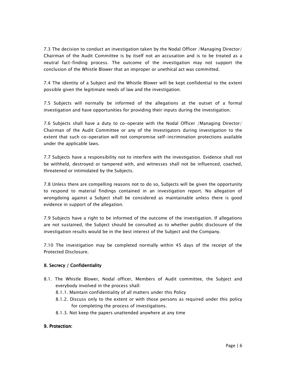7.3 The decision to conduct an investigation taken by the Nodal Officer /Managing Director/ Chairman of the Audit Committee is by itself not an accusation and is to be treated as a neutral fact-finding process. The outcome of the investigation may not support the conclusion of the Whistle Blower that an improper or unethical act was committed.

7.4 The identity of a Subject and the Whistle Blower will be kept confidential to the extent possible given the legitimate needs of law and the investigation.

7.5 Subjects will normally be informed of the allegations at the outset of a formal investigation and have opportunities for providing their inputs during the investigation.

7.6 Subjects shall have a duty to co-operate with the Nodal Officer /Managing Director/ Chairman of the Audit Committee or any of the Investigators during investigation to the extent that such co-operation will not compromise self-incrimination protections available under the applicable laws.

7.7 Subjects have a responsibility not to interfere with the investigation. Evidence shall not be withheld, destroyed or tampered with, and witnesses shall not be influenced, coached, threatened or intimidated by the Subjects.

7.8 Unless there are compelling reasons not to do so, Subjects will be given the opportunity to respond to material findings contained in an investigation report. No allegation of wrongdoing against a Subject shall be considered as maintainable unless there is good evidence in support of the allegation.

7.9 Subjects have a right to be informed of the outcome of the investigation. If allegations are not sustained, the Subject should be consulted as to whether public disclosure of the investigation results would be in the best interest of the Subject and the Company.

7.10 The investigation may be completed normally within 45 days of the receipt of the Protected Disclosure.

#### 8. Secrecy / Confidentiality

- 8.1. The Whistle Blower, Nodal officer, Members of Audit committee, the Subject and everybody involved in the process shall:
	- 8.1.1. Maintain confidentiality of all matters under this Policy
	- 8.1.2. Discuss only to the extent or with those persons as required under this policy for completing the process of investigations.
	- 8.1.3. Not keep the papers unattended anywhere at any time

#### 9. Protection: 9. Protection: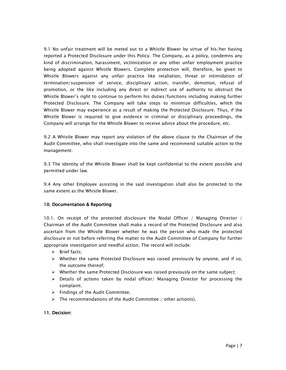9.1 No unfair treatment will be meted out to a Whistle Blower by virtue of his/her having reported a Protected Disclosure under this Policy. The Company, as a policy, condemns any kind of discrimination, harassment, victimization or any other unfair employment practice being adopted against Whistle Blowers. Complete protection will, therefore, be given to Whistle Blowers against any unfair practice like retaliation, threat or intimidation of termination/suspension of service, disciplinary action, transfer, demotion, refusal of promotion, or the like including any direct or indirect use of authority to obstruct the Whistle Blower's right to continue to perform his duties/functions including making further Protected Disclosure. The Company will take steps to minimize difficulties, which the Whistle Blower may experience as a result of making the Protected Disclosure. Thus, if the Whistle Blower is required to give evidence in criminal or disciplinary proceedings, the Company will arrange for the Whistle Blower to receive advice about the procedure, etc.

9.2 A Whistle Blower may report any violation of the above clause to the Chairman of the Audit Committee, who shall investigate into the same and recommend suitable action to the management.

9.3 The identity of the Whistle Blower shall be kept confidential to the extent possible and permitted under law.

9.4 Any other Employee assisting in the said investigation shall also be protected to the same extent as the Whistle Blower.

#### 10. Documentation & Reporting

10.1. On receipt of the protected disclosure the Nodal Officer / Managing Director / Chairman of the Audit Committee shall make a record of the Protected Disclosure and also ascertain from the Whistle Blower whether he was the person who made the protected disclosure or not before referring the matter to the Audit Committee of Company for further appropriate investigation and needful action. The record will include:

- $\triangleright$  Brief facts;
- $\triangleright$  Whether the same Protected Disclosure was raised previously by anyone, and if so, the outcome thereof;
- $\triangleright$  Whether the same Protected Disclosure was raised previously on the same subject;
- $\triangleright$  Details of actions taken by nodal officer/ Managing Director for processing the complaint.
- $\triangleright$  Findings of the Audit Committee;
- $\triangleright$  The recommendations of the Audit Committee / other action(s).

#### 11. Decision: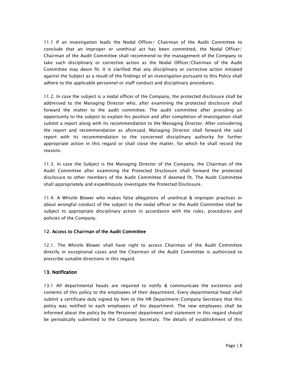11.1 If an investigation leads the Nodal Officer/ Chairman of the Audit Committee to conclude that an improper or unethical act has been committed, the Nodal Officer/ Chairman of the Audit Committee shall recommend to the management of the Company to take such disciplinary or corrective action as the Nodal Officer/Chairman of the Audit Committee may deem fit. It is clarified that any disciplinary or corrective action initiated against the Subject as a result of the findings of an investigation pursuant to this Policy shall adhere to the applicable personnel or staff conduct and disciplinary procedures.

11.2. In case the subject is a nodal officer of the Company, the protected disclosure shall be addressed to the Managing Director who, after examining the protected disclosure shall forward the matter to the audit committee. The audit committee after providing an opportunity to the subject to explain his position and after completion of investigation shall submit a report along with its recommendation to the Managing Director. After considering the report and recommendation as aforesaid, Managing Director shall forward the said report with its recommendation to the concerned disciplinary authority for further appropriate action in this regard or shall close the matter, for which he shall record the reasons.

11.3. In case the Subject is the Managing Director of the Company, the Chairman of the Audit Committee after examining the Protected Disclosure shall forward the protected disclosure to other members of the Audit Committee if deemed fit. The Audit Committee shall appropriately and expeditiously investigate the Protected Disclosure.

11.4. A Whistle Blower who makes false allegations of unethical & improper practices or about wrongful conduct of the subject to the nodal officer or the Audit Committee shall be subject to appropriate disciplinary action in accordance with the rules, procedures and policies of the Company.

#### 12. Access to Chairman of the Audit Committee

12.1. The Whistle Blower shall have right to access Chairman of the Audit Committee directly in exceptional cases and the Chairman of the Audit Committee is authorized to prescribe suitable directions in this regard.

#### 13. Notification

13.1 All departmental heads are required to notify & communicate the existence and contents of this policy to the employees of their department. Every departmental head shall submit a certificate duly signed by him to the HR Department/Company Secretary that this policy was notified to each employees of his department. The new employees shall be informed about the policy by the Personnel department and statement in this regard should be periodically submitted to the Company Secretary. The details of establishment of this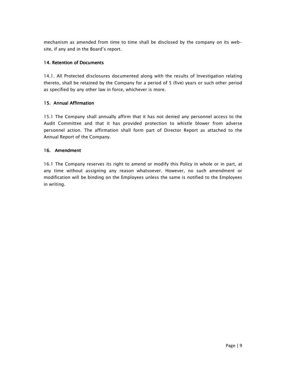mechanism as amended from time to time shall be disclosed by the company on its website, if any and in the Board's report.

# 14. Retention of Documents

14.1. All Protected disclosures documented along with the results of Investigation relating thereto, shall be retained by the Company for a period of 5 (five) years or such other period as specified by any other law in force, whichever is more.

## 15. Annual Affirmation

15.1 The Company shall annually affirm that it has not denied any personnel access to the Audit Committee and that it has provided protection to whistle blower from adverse personnel action. The affirmation shall form part of Director Report as attached to the Annual Report of the Company.

## 16. Amendment

16.1 The Company reserves its right to amend or modify this Policy in whole or in part, at any time without assigning any reason whatsoever. However, no such amendment or modification will be binding on the Employees unless the same is notified to the Employees in writing.